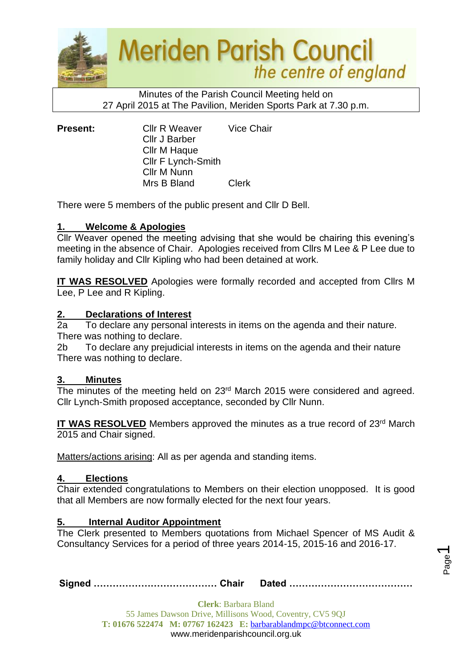

Minutes of the Parish Council Meeting held on 27 April 2015 at The Pavilion, Meriden Sports Park at 7.30 p.m.

**Present:** Cllr R Weaver Vice Chair Cllr J Barber Cllr M Haque Cllr F Lynch-Smith Cllr M Nunn Mrs B Bland Clerk

There were 5 members of the public present and Cllr D Bell.

# **1. Welcome & Apologies**

Cllr Weaver opened the meeting advising that she would be chairing this evening's meeting in the absence of Chair. Apologies received from Cllrs M Lee & P Lee due to family holiday and Cllr Kipling who had been detained at work.

**IT WAS RESOLVED** Apologies were formally recorded and accepted from Cllrs M Lee, P Lee and R Kipling.

## **2. Declarations of Interest**

2a To declare any personal interests in items on the agenda and their nature. There was nothing to declare.

2b To declare any prejudicial interests in items on the agenda and their nature There was nothing to declare.

#### **3. Minutes**

The minutes of the meeting held on 23rd March 2015 were considered and agreed. Cllr Lynch-Smith proposed acceptance, seconded by Cllr Nunn.

IT WAS RESOLVED Members approved the minutes as a true record of 23<sup>rd</sup> March 2015 and Chair signed.

Matters/actions arising: All as per agenda and standing items.

# **4. Elections**

Chair extended congratulations to Members on their election unopposed. It is good that all Members are now formally elected for the next four years.

#### **Internal Auditor Appointment**

The Clerk presented to Members quotations from Michael Spencer of MS Audit & Consultancy Services for a period of three years 2014-15, 2015-16 and 2016-17.

**Signed ………………………………… Chair Dated …………………………………**

Page  $\overline{\phantom{0}}$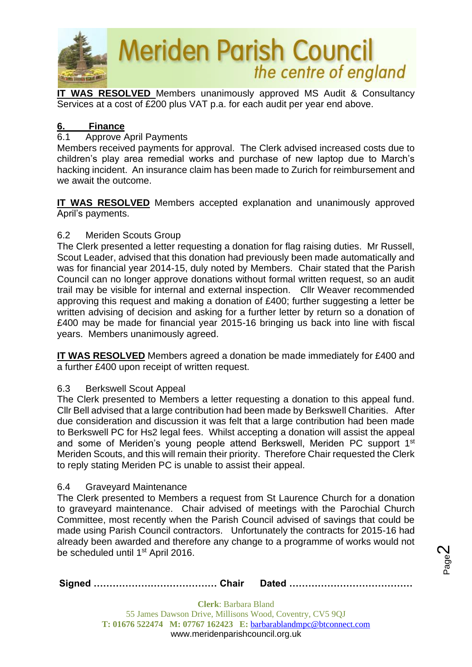

**IT WAS RESOLVED** Members unanimously approved MS Audit & Consultancy Services at a cost of £200 plus VAT p.a. for each audit per year end above.

## **6. Finance**

# 6.1 Approve April Payments

Members received payments for approval. The Clerk advised increased costs due to children's play area remedial works and purchase of new laptop due to March's hacking incident. An insurance claim has been made to Zurich for reimbursement and we await the outcome.

**IT WAS RESOLVED** Members accepted explanation and unanimously approved April's payments.

## 6.2 Meriden Scouts Group

The Clerk presented a letter requesting a donation for flag raising duties. Mr Russell, Scout Leader, advised that this donation had previously been made automatically and was for financial year 2014-15, duly noted by Members. Chair stated that the Parish Council can no longer approve donations without formal written request, so an audit trail may be visible for internal and external inspection. Cllr Weaver recommended approving this request and making a donation of £400; further suggesting a letter be written advising of decision and asking for a further letter by return so a donation of £400 may be made for financial year 2015-16 bringing us back into line with fiscal years. Members unanimously agreed.

**IT WAS RESOLVED** Members agreed a donation be made immediately for £400 and a further £400 upon receipt of written request.

#### 6.3 Berkswell Scout Appeal

The Clerk presented to Members a letter requesting a donation to this appeal fund. Cllr Bell advised that a large contribution had been made by Berkswell Charities. After due consideration and discussion it was felt that a large contribution had been made to Berkswell PC for Hs2 legal fees. Whilst accepting a donation will assist the appeal and some of Meriden's young people attend Berkswell, Meriden PC support 1st Meriden Scouts, and this will remain their priority. Therefore Chair requested the Clerk to reply stating Meriden PC is unable to assist their appeal.

#### 6.4 Graveyard Maintenance

The Clerk presented to Members a request from St Laurence Church for a donation to graveyard maintenance. Chair advised of meetings with the Parochial Church Committee, most recently when the Parish Council advised of savings that could be made using Parish Council contractors. Unfortunately the contracts for 2015-16 had already been awarded and therefore any change to a programme of works would not be scheduled until 1<sup>st</sup> April 2016.

|--|--|

Page  $\boldsymbol{\sim}$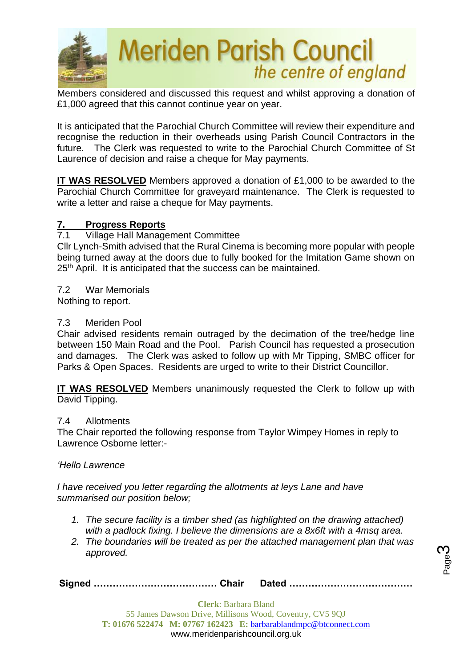

Members considered and discussed this request and whilst approving a donation of £1,000 agreed that this cannot continue year on year.

It is anticipated that the Parochial Church Committee will review their expenditure and recognise the reduction in their overheads using Parish Council Contractors in the future. The Clerk was requested to write to the Parochial Church Committee of St Laurence of decision and raise a cheque for May payments.

**IT WAS RESOLVED** Members approved a donation of £1,000 to be awarded to the Parochial Church Committee for graveyard maintenance. The Clerk is requested to write a letter and raise a cheque for May payments.

# **7. Progress Reports**

Village Hall Management Committee

Cllr Lynch-Smith advised that the Rural Cinema is becoming more popular with people being turned away at the doors due to fully booked for the Imitation Game shown on 25<sup>th</sup> April. It is anticipated that the success can be maintained.

7.2 War Memorials Nothing to report.

#### 7.3 Meriden Pool

Chair advised residents remain outraged by the decimation of the tree/hedge line between 150 Main Road and the Pool. Parish Council has requested a prosecution and damages. The Clerk was asked to follow up with Mr Tipping, SMBC officer for Parks & Open Spaces. Residents are urged to write to their District Councillor.

**IT WAS RESOLVED** Members unanimously requested the Clerk to follow up with David Tipping.

#### 7.4 Allotments

The Chair reported the following response from Taylor Wimpey Homes in reply to Lawrence Osborne letter:-

#### *'Hello Lawrence*

*I have received you letter regarding the allotments at leys Lane and have summarised our position below;*

- *1. The secure facility is a timber shed (as highlighted on the drawing attached) with a padlock fixing. I believe the dimensions are a 8x6ft with a 4msq area.*
- *2. The boundaries will be treated as per the attached management plan that was approved.*

Page ო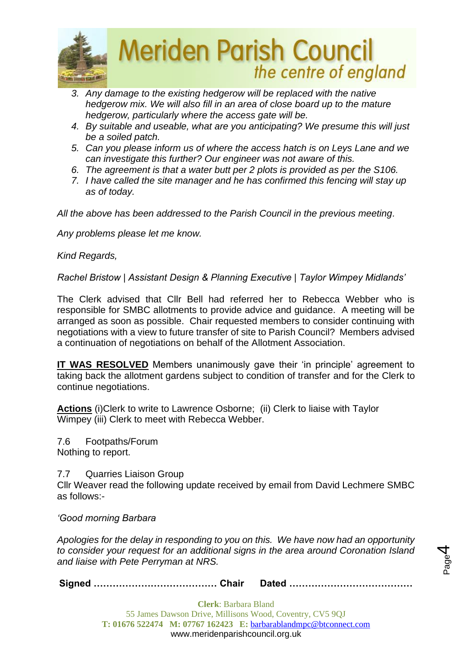

- *3. Any damage to the existing hedgerow will be replaced with the native hedgerow mix. We will also fill in an area of close board up to the mature hedgerow, particularly where the access gate will be.*
- *4. By suitable and useable, what are you anticipating? We presume this will just be a soiled patch.*
- *5. Can you please inform us of where the access hatch is on Leys Lane and we can investigate this further? Our engineer was not aware of this.*
- *6. The agreement is that a water butt per 2 plots is provided as per the S106.*
- *7. I have called the site manager and he has confirmed this fencing will stay up as of today.*

*All the above has been addressed to the Parish Council in the previous meeting.*

*Any problems please let me know.*

*Kind Regards,*

*Rachel Bristow | Assistant Design & Planning Executive | Taylor Wimpey Midlands'*

The Clerk advised that Cllr Bell had referred her to Rebecca Webber who is responsible for SMBC allotments to provide advice and guidance. A meeting will be arranged as soon as possible. Chair requested members to consider continuing with negotiations with a view to future transfer of site to Parish Council? Members advised a continuation of negotiations on behalf of the Allotment Association.

**IT WAS RESOLVED** Members unanimously gave their 'in principle' agreement to taking back the allotment gardens subject to condition of transfer and for the Clerk to continue negotiations.

**Actions** (i)Clerk to write to Lawrence Osborne; (ii) Clerk to liaise with Taylor Wimpey (iii) Clerk to meet with Rebecca Webber.

7.6 Footpaths/Forum Nothing to report.

7.7 Quarries Liaison Group

Cllr Weaver read the following update received by email from David Lechmere SMBC as follows:-

*'Good morning Barbara*

*Apologies for the delay in responding to you on this. We have now had an opportunity to consider your request for an additional signs in the area around Coronation Island and liaise with Pete Perryman at NRS.*

**Signed ………………………………… Chair Dated …………………………………**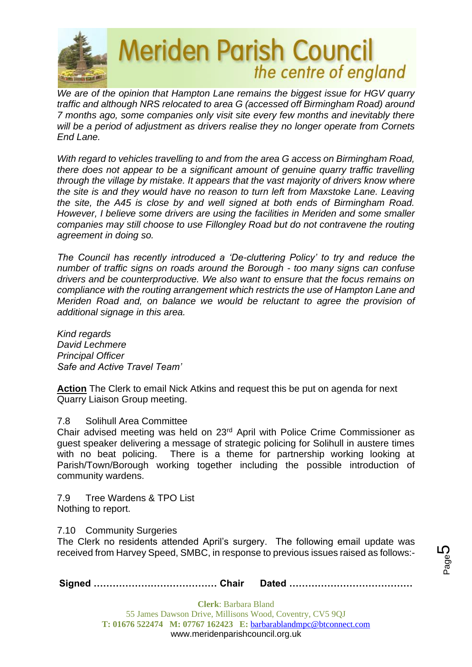

*We are of the opinion that Hampton Lane remains the biggest issue for HGV quarry traffic and although NRS relocated to area G (accessed off Birmingham Road) around 7 months ago, some companies only visit site every few months and inevitably there will be a period of adjustment as drivers realise they no longer operate from Cornets End Lane.*

*With regard to vehicles travelling to and from the area G access on Birmingham Road, there does not appear to be a significant amount of genuine quarry traffic travelling through the village by mistake. It appears that the vast majority of drivers know where the site is and they would have no reason to turn left from Maxstoke Lane. Leaving the site, the A45 is close by and well signed at both ends of Birmingham Road. However, I believe some drivers are using the facilities in Meriden and some smaller companies may still choose to use Fillongley Road but do not contravene the routing agreement in doing so.* 

*The Council has recently introduced a 'De-cluttering Policy' to try and reduce the number of traffic signs on roads around the Borough - too many signs can confuse drivers and be counterproductive. We also want to ensure that the focus remains on compliance with the routing arrangement which restricts the use of Hampton Lane and Meriden Road and, on balance we would be reluctant to agree the provision of additional signage in this area.*

*Kind regards David Lechmere Principal Officer Safe and Active Travel Team'*

**Action** The Clerk to email Nick Atkins and request this be put on agenda for next Quarry Liaison Group meeting.

#### 7.8 Solihull Area Committee

Chair advised meeting was held on 23rd April with Police Crime Commissioner as guest speaker delivering a message of strategic policing for Solihull in austere times with no beat policing. There is a theme for partnership working looking at Parish/Town/Borough working together including the possible introduction of community wardens.

7.9 Tree Wardens & TPO List Nothing to report.

#### 7.10 Community Surgeries

The Clerk no residents attended April's surgery. The following email update was received from Harvey Speed, SMBC, in response to previous issues raised as follows:-

**Signed ………………………………… Chair Dated …………………………………**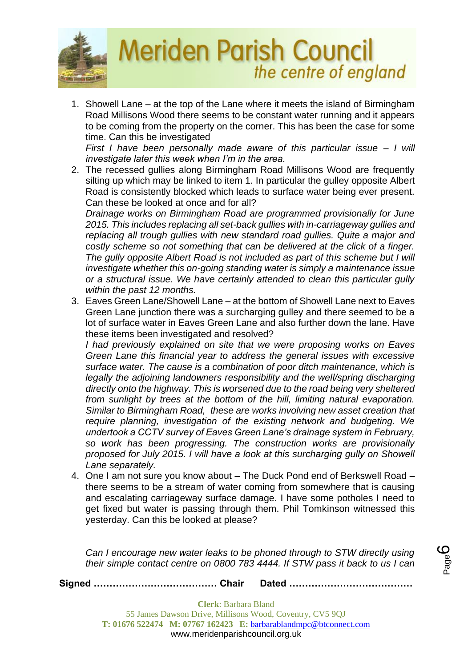

1. Showell Lane – at the top of the Lane where it meets the island of Birmingham Road Millisons Wood there seems to be constant water running and it appears to be coming from the property on the corner. This has been the case for some time. Can this be investigated

*First I have been personally made aware of this particular issue – I will investigate later this week when I'm in the area.*

2. The recessed gullies along Birmingham Road Millisons Wood are frequently silting up which may be linked to item 1. In particular the gulley opposite Albert Road is consistently blocked which leads to surface water being ever present. Can these be looked at once and for all?

*Drainage works on Birmingham Road are programmed provisionally for June 2015. This includes replacing all set-back gullies with in-carriageway gullies and replacing all trough gullies with new standard road gullies. Quite a major and costly scheme so not something that can be delivered at the click of a finger. The gully opposite Albert Road is not included as part of this scheme but I will investigate whether this on-going standing water is simply a maintenance issue or a structural issue. We have certainly attended to clean this particular gully within the past 12 months.*

3. Eaves Green Lane/Showell Lane – at the bottom of Showell Lane next to Eaves Green Lane junction there was a surcharging gulley and there seemed to be a lot of surface water in Eaves Green Lane and also further down the lane. Have these items been investigated and resolved?

*I had previously explained on site that we were proposing works on Eaves Green Lane this financial year to address the general issues with excessive surface water. The cause is a combination of poor ditch maintenance, which is legally the adjoining landowners responsibility and the well/spring discharging directly onto the highway. This is worsened due to the road being very sheltered from sunlight by trees at the bottom of the hill, limiting natural evaporation. Similar to Birmingham Road, these are works involving new asset creation that require planning, investigation of the existing network and budgeting. We undertook a CCTV survey of Eaves Green Lane's drainage system in February, so work has been progressing. The construction works are provisionally proposed for July 2015. I will have a look at this surcharging gully on Showell Lane separately.*

4. One I am not sure you know about – The Duck Pond end of Berkswell Road – there seems to be a stream of water coming from somewhere that is causing and escalating carriageway surface damage. I have some potholes I need to get fixed but water is passing through them. Phil Tomkinson witnessed this yesterday. Can this be looked at please?

*Can I encourage new water leaks to be phoned through to STW directly using their simple contact centre on 0800 783 4444. If STW pass it back to us I can* 

**Signed ………………………………… Chair Dated …………………………………**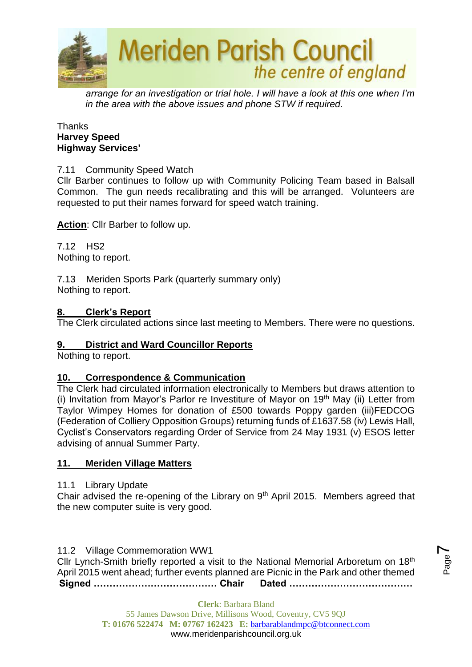

*arrange for an investigation or trial hole. I will have a look at this one when I'm in the area with the above issues and phone STW if required.*

#### **Thanks Harvey Speed Highway Services'**

7.11 Community Speed Watch

Cllr Barber continues to follow up with Community Policing Team based in Balsall Common. The gun needs recalibrating and this will be arranged. Volunteers are requested to put their names forward for speed watch training.

**Action**: Cllr Barber to follow up.

7.12 HS2 Nothing to report.

7.13Meriden Sports Park (quarterly summary only) Nothing to report.

#### **8. Clerk's Report**

The Clerk circulated actions since last meeting to Members. There were no questions.

#### **9. District and Ward Councillor Reports**

Nothing to report.

#### **10. Correspondence & Communication**

The Clerk had circulated information electronically to Members but draws attention to (i) Invitation from Mayor's Parlor re Investiture of Mayor on 19<sup>th</sup> May (ii) Letter from Taylor Wimpey Homes for donation of £500 towards Poppy garden (iii)FEDCOG (Federation of Colliery Opposition Groups) returning funds of £1637.58 (iv) Lewis Hall, Cyclist's Conservators regarding Order of Service from 24 May 1931 (v) ESOS letter advising of annual Summer Party.

#### **11. Meriden Village Matters**

11.1 Library Update

Chair advised the re-opening of the Library on 9<sup>th</sup> April 2015. Members agreed that the new computer suite is very good.

11.2 Village Commemoration WW1

**Signed ………………………………… Chair Dated …………………………………** Cllr Lynch-Smith briefly reported a visit to the National Memorial Arboretum on 18<sup>th</sup> April 2015 went ahead; further events planned are Picnic in the Park and other themed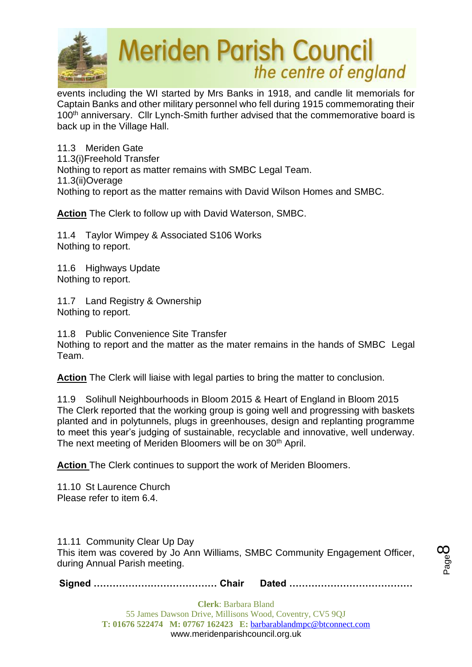

events including the WI started by Mrs Banks in 1918, and candle lit memorials for Captain Banks and other military personnel who fell during 1915 commemorating their 100<sup>th</sup> anniversary. Cllr Lynch-Smith further advised that the commemorative board is back up in the Village Hall.

11.3 Meriden Gate 11.3(i)Freehold Transfer Nothing to report as matter remains with SMBC Legal Team. 11.3(ii)Overage Nothing to report as the matter remains with David Wilson Homes and SMBC.

**Action** The Clerk to follow up with David Waterson, SMBC.

11.4 Taylor Wimpey & Associated S106 Works Nothing to report.

11.6 Highways Update Nothing to report.

11.7 Land Registry & Ownership Nothing to report.

11.8 Public Convenience Site Transfer

Nothing to report and the matter as the mater remains in the hands of SMBC Legal Team.

**Action** The Clerk will liaise with legal parties to bring the matter to conclusion.

11.9 Solihull Neighbourhoods in Bloom 2015 & Heart of England in Bloom 2015 The Clerk reported that the working group is going well and progressing with baskets planted and in polytunnels, plugs in greenhouses, design and replanting programme to meet this year's judging of sustainable, recyclable and innovative, well underway. The next meeting of Meriden Bloomers will be on 30<sup>th</sup> April.

**Action** The Clerk continues to support the work of Meriden Bloomers.

11.10 St Laurence Church Please refer to item 6.4.

11.11 Community Clear Up Day This item was covered by Jo Ann Williams, SMBC Community Engagement Officer, during Annual Parish meeting.

Page  $\infty$ 

**Signed ………………………………… Chair Dated …………………………………**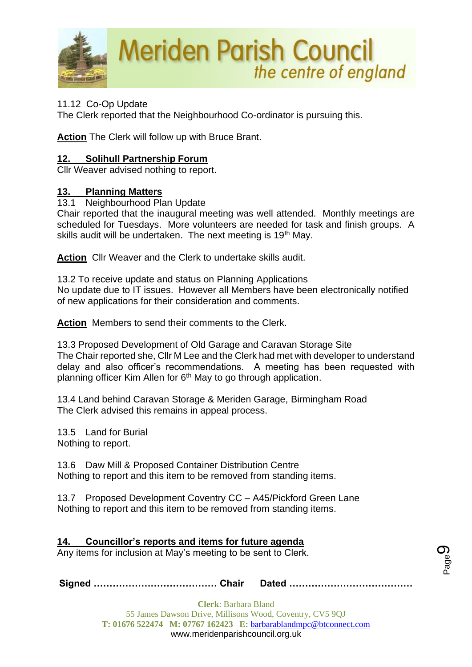

# 11.12 Co-Op Update

The Clerk reported that the Neighbourhood Co-ordinator is pursuing this.

**Action** The Clerk will follow up with Bruce Brant.

# **12. Solihull Partnership Forum**

Cllr Weaver advised nothing to report.

# **13. Planning Matters**

## 13.1 Neighbourhood Plan Update

Chair reported that the inaugural meeting was well attended. Monthly meetings are scheduled for Tuesdays. More volunteers are needed for task and finish groups. A skills audit will be undertaken. The next meeting is 19<sup>th</sup> May.

**Action** Cllr Weaver and the Clerk to undertake skills audit.

13.2 To receive update and status on Planning Applications No update due to IT issues. However all Members have been electronically notified of new applications for their consideration and comments.

**Action** Members to send their comments to the Clerk.

13.3 Proposed Development of Old Garage and Caravan Storage Site The Chair reported she, Cllr M Lee and the Clerk had met with developer to understand delay and also officer's recommendations. A meeting has been requested with planning officer Kim Allen for 6<sup>th</sup> May to go through application.

13.4 Land behind Caravan Storage & Meriden Garage, Birmingham Road The Clerk advised this remains in appeal process.

13.5 Land for Burial Nothing to report.

13.6 Daw Mill & Proposed Container Distribution Centre Nothing to report and this item to be removed from standing items.

13.7 Proposed Development Coventry CC – A45/Pickford Green Lane Nothing to report and this item to be removed from standing items.

# **14. Councillor's reports and items for future agenda**

Any items for inclusion at May's meeting to be sent to Clerk.

**Signed ………………………………… Chair Dated …………………………………**